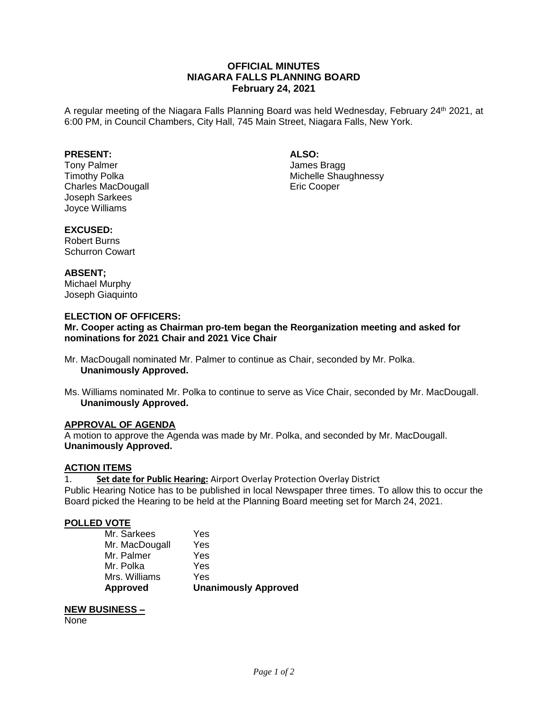# **OFFICIAL MINUTES NIAGARA FALLS PLANNING BOARD February 24, 2021**

A regular meeting of the Niagara Falls Planning Board was held Wednesday, February 24<sup>th</sup> 2021, at 6:00 PM, in Council Chambers, City Hall, 745 Main Street, Niagara Falls, New York.

## **PRESENT:**

Tony Palmer Timothy Polka Charles MacDougall Joseph Sarkees Joyce Williams

**ALSO:**

James Bragg Michelle Shaughnessy Eric Cooper

#### **EXCUSED:**

Robert Burns Schurron Cowart

## **ABSENT;**

Michael Murphy Joseph Giaquinto

## **ELECTION OF OFFICERS:**

**Mr. Cooper acting as Chairman pro-tem began the Reorganization meeting and asked for nominations for 2021 Chair and 2021 Vice Chair**

- Mr. MacDougall nominated Mr. Palmer to continue as Chair, seconded by Mr. Polka. **Unanimously Approved.**
- Ms. Williams nominated Mr. Polka to continue to serve as Vice Chair, seconded by Mr. MacDougall. **Unanimously Approved.**

## **APPROVAL OF AGENDA**

A motion to approve the Agenda was made by Mr. Polka, and seconded by Mr. MacDougall. **Unanimously Approved.**

## **ACTION ITEMS**

1. **Set date for Public Hearing:** Airport Overlay Protection Overlay District

Public Hearing Notice has to be published in local Newspaper three times. To allow this to occur the Board picked the Hearing to be held at the Planning Board meeting set for March 24, 2021.

## **POLLED VOTE**

| <b>Approved</b> | <b>Unanimously Approved</b> |
|-----------------|-----------------------------|
| Mrs. Williams   | Yes                         |
| Mr. Polka       | Yes                         |
| Mr. Palmer      | Yes                         |
| Mr. MacDougall  | Yes                         |
| Mr. Sarkees     | Yes                         |

#### **NEW BUSINESS –**

None